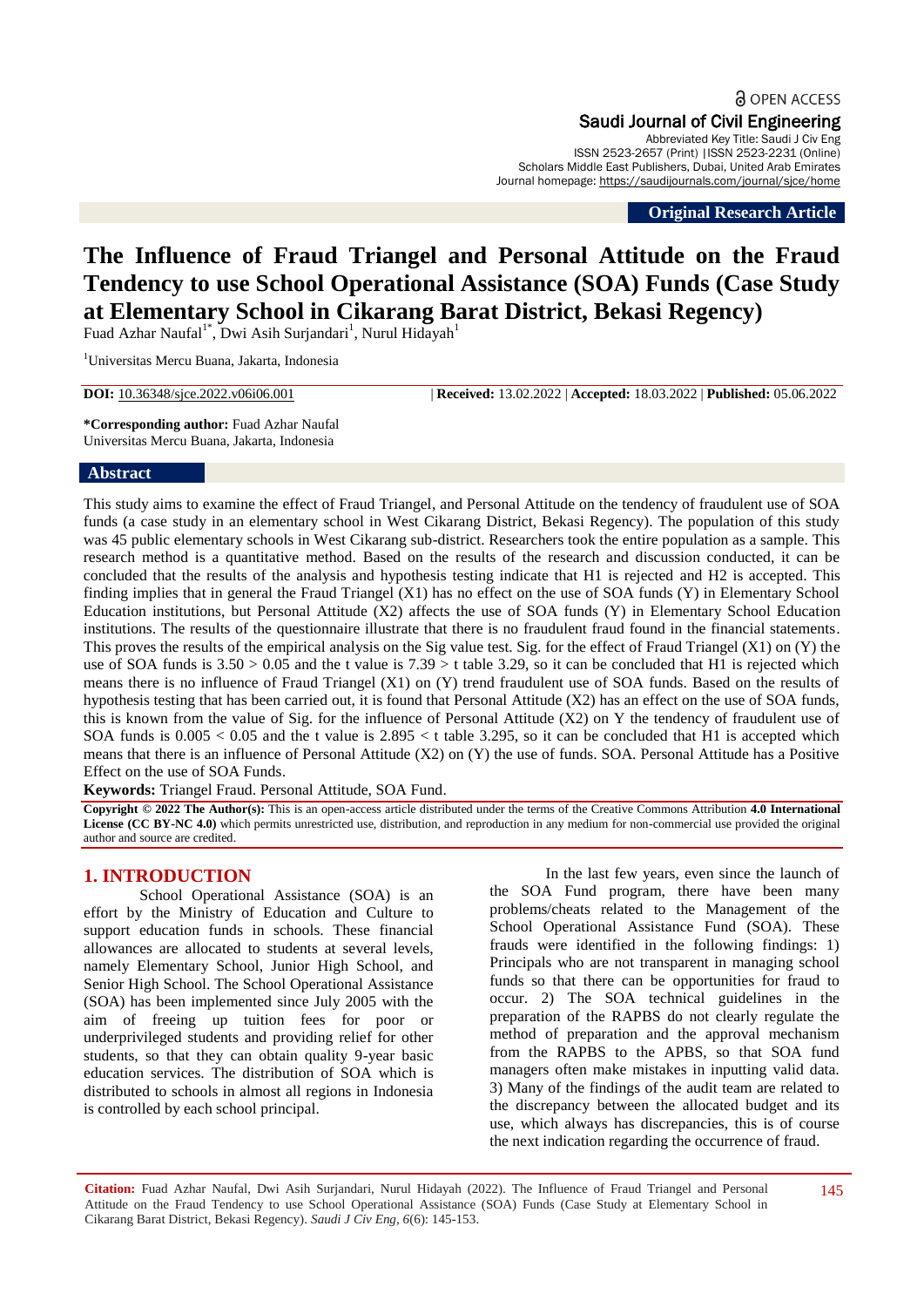Saudi Journal of Civil Engineering Abbreviated Key Title: Saudi J Civ Eng ISSN 2523-2657 (Print) |ISSN 2523-2231 (Online) Scholars Middle East Publishers, Dubai, United Arab Emirates Journal homepage: https://saudijournals.com/journal/sjce/home

**Original Research Article**

# **The Influence of Fraud Triangel and Personal Attitude on the Fraud Tendency to use School Operational Assistance (SOA) Funds (Case Study at Elementary School in Cikarang Barat District, Bekasi Regency)**

Fuad Azhar Naufal<sup>1\*</sup>, Dwi Asih Surjandari<sup>1</sup>, Nurul Hidayah<sup>1</sup>

<sup>1</sup>Universitas Mercu Buana, Jakarta, Indonesia

**DOI:** 10.36348/sjce.2022.v06i06.001 | **Received:** 13.02.2022 | **Accepted:** 18.03.2022 | **Published:** 05.06.2022

**\*Corresponding author:** Fuad Azhar Naufal Universitas Mercu Buana, Jakarta, Indonesia

#### **Abstract**

This study aims to examine the effect of Fraud Triangel, and Personal Attitude on the tendency of fraudulent use of SOA funds (a case study in an elementary school in West Cikarang District, Bekasi Regency). The population of this study was 45 public elementary schools in West Cikarang sub-district. Researchers took the entire population as a sample. This research method is a quantitative method. Based on the results of the research and discussion conducted, it can be concluded that the results of the analysis and hypothesis testing indicate that H1 is rejected and H2 is accepted. This finding implies that in general the Fraud Triangel (X1) has no effect on the use of SOA funds (Y) in Elementary School Education institutions, but Personal Attitude (X2) affects the use of SOA funds (Y) in Elementary School Education institutions. The results of the questionnaire illustrate that there is no fraudulent fraud found in the financial statements. This proves the results of the empirical analysis on the Sig value test. Sig. for the effect of Fraud Triangel (X1) on (Y) the use of SOA funds is  $3.50 > 0.05$  and the t value is  $7.39 > t$  table 3.29, so it can be concluded that H1 is rejected which means there is no influence of Fraud Triangel (X1) on (Y) trend fraudulent use of SOA funds. Based on the results of hypothesis testing that has been carried out, it is found that Personal Attitude (X2) has an effect on the use of SOA funds, this is known from the value of Sig. for the influence of Personal Attitude (X2) on Y the tendency of fraudulent use of SOA funds is  $0.005 < 0.05$  and the t value is  $2.895 < t$  table 3.295, so it can be concluded that H1 is accepted which means that there is an influence of Personal Attitude (X2) on (Y) the use of funds. SOA. Personal Attitude has a Positive Effect on the use of SOA Funds.

**Keywords:** Triangel Fraud. Personal Attitude, SOA Fund.

**Copyright © 2022 The Author(s):** This is an open-access article distributed under the terms of the Creative Commons Attribution **4.0 International License (CC BY-NC 4.0)** which permits unrestricted use, distribution, and reproduction in any medium for non-commercial use provided the original author and source are credited.

## **1. INTRODUCTION**

School Operational Assistance (SOA) is an effort by the Ministry of Education and Culture to support education funds in schools. These financial allowances are allocated to students at several levels, namely Elementary School, Junior High School, and Senior High School. The School Operational Assistance (SOA) has been implemented since July 2005 with the aim of freeing up tuition fees for poor or underprivileged students and providing relief for other students, so that they can obtain quality 9-year basic education services. The distribution of SOA which is distributed to schools in almost all regions in Indonesia is controlled by each school principal.

In the last few years, even since the launch of the SOA Fund program, there have been many problems/cheats related to the Management of the School Operational Assistance Fund (SOA). These frauds were identified in the following findings: 1) Principals who are not transparent in managing school funds so that there can be opportunities for fraud to occur. 2) The SOA technical guidelines in the preparation of the RAPBS do not clearly regulate the method of preparation and the approval mechanism from the RAPBS to the APBS, so that SOA fund managers often make mistakes in inputting valid data. 3) Many of the findings of the audit team are related to the discrepancy between the allocated budget and its use, which always has discrepancies, this is of course the next indication regarding the occurrence of fraud.

**Citation:** Fuad Azhar Naufal, Dwi Asih Surjandari, Nurul Hidayah (2022). The Influence of Fraud Triangel and Personal Attitude on the Fraud Tendency to use School Operational Assistance (SOA) Funds (Case Study at Elementary School in Cikarang Barat District, Bekasi Regency). *Saudi J Civ Eng, 6*(6): 145-153.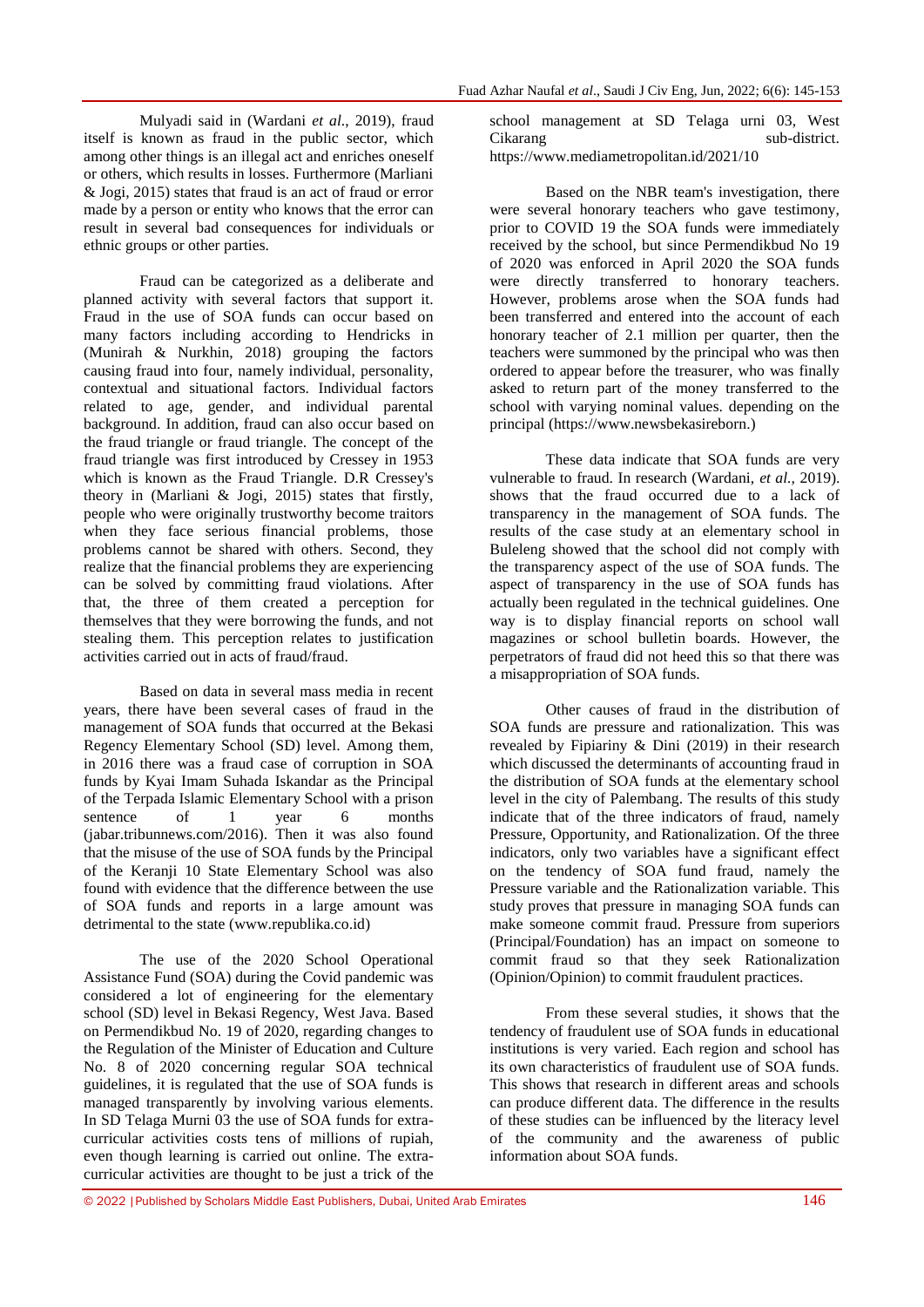Mulyadi said in (Wardani *et al*., 2019), fraud itself is known as fraud in the public sector, which among other things is an illegal act and enriches oneself or others, which results in losses. Furthermore (Marliani & Jogi, 2015) states that fraud is an act of fraud or error made by a person or entity who knows that the error can result in several bad consequences for individuals or ethnic groups or other parties.

Fraud can be categorized as a deliberate and planned activity with several factors that support it. Fraud in the use of SOA funds can occur based on many factors including according to Hendricks in (Munirah & Nurkhin, 2018) grouping the factors causing fraud into four, namely individual, personality, contextual and situational factors. Individual factors related to age, gender, and individual parental background. In addition, fraud can also occur based on the fraud triangle or fraud triangle. The concept of the fraud triangle was first introduced by Cressey in 1953 which is known as the Fraud Triangle. D.R Cressey's theory in (Marliani & Jogi, 2015) states that firstly, people who were originally trustworthy become traitors when they face serious financial problems, those problems cannot be shared with others. Second, they realize that the financial problems they are experiencing can be solved by committing fraud violations. After that, the three of them created a perception for themselves that they were borrowing the funds, and not stealing them. This perception relates to justification activities carried out in acts of fraud/fraud.

Based on data in several mass media in recent years, there have been several cases of fraud in the management of SOA funds that occurred at the Bekasi Regency Elementary School (SD) level. Among them, in 2016 there was a fraud case of corruption in SOA funds by Kyai Imam Suhada Iskandar as the Principal of the Terpada Islamic Elementary School with a prison<br>sentence of 1 vear 6 months sentence of 1 year 6 months (jabar.tribunnews.com/2016). Then it was also found that the misuse of the use of SOA funds by the Principal of the Keranji 10 State Elementary School was also found with evidence that the difference between the use of SOA funds and reports in a large amount was detrimental to the state [\(www.republika.co.id\)](http://www.republika.co.id/)

The use of the 2020 School Operational Assistance Fund (SOA) during the Covid pandemic was considered a lot of engineering for the elementary school (SD) level in Bekasi Regency, West Java. Based on Permendikbud No. 19 of 2020, regarding changes to the Regulation of the Minister of Education and Culture No. 8 of 2020 concerning regular SOA technical guidelines, it is regulated that the use of SOA funds is managed transparently by involving various elements. In SD Telaga Murni 03 the use of SOA funds for extracurricular activities costs tens of millions of rupiah, even though learning is carried out online. The extracurricular activities are thought to be just a trick of the

school management at SD Telaga urni 03, West Cikarang sub-district. <https://www.mediametropolitan.id/2021/10>

Based on the NBR team's investigation, there were several honorary teachers who gave testimony, prior to COVID 19 the SOA funds were immediately received by the school, but since Permendikbud No 19 of 2020 was enforced in April 2020 the SOA funds were directly transferred to honorary teachers. However, problems arose when the SOA funds had been transferred and entered into the account of each honorary teacher of 2.1 million per quarter, then the teachers were summoned by the principal who was then ordered to appear before the treasurer, who was finally asked to return part of the money transferred to the school with varying nominal values. depending on the principal [\(https://www.newsbekasireborn.](https://www.newsbekasireborn/))

These data indicate that SOA funds are very vulnerable to fraud. In research (Wardani, *et al.,* 2019). shows that the fraud occurred due to a lack of transparency in the management of SOA funds. The results of the case study at an elementary school in Buleleng showed that the school did not comply with the transparency aspect of the use of SOA funds. The aspect of transparency in the use of SOA funds has actually been regulated in the technical guidelines. One way is to display financial reports on school wall magazines or school bulletin boards. However, the perpetrators of fraud did not heed this so that there was a misappropriation of SOA funds.

Other causes of fraud in the distribution of SOA funds are pressure and rationalization. This was revealed by Fipiariny & Dini (2019) in their research which discussed the determinants of accounting fraud in the distribution of SOA funds at the elementary school level in the city of Palembang. The results of this study indicate that of the three indicators of fraud, namely Pressure, Opportunity, and Rationalization. Of the three indicators, only two variables have a significant effect on the tendency of SOA fund fraud, namely the Pressure variable and the Rationalization variable. This study proves that pressure in managing SOA funds can make someone commit fraud. Pressure from superiors (Principal/Foundation) has an impact on someone to commit fraud so that they seek Rationalization (Opinion/Opinion) to commit fraudulent practices.

From these several studies, it shows that the tendency of fraudulent use of SOA funds in educational institutions is very varied. Each region and school has its own characteristics of fraudulent use of SOA funds. This shows that research in different areas and schools can produce different data. The difference in the results of these studies can be influenced by the literacy level of the community and the awareness of public information about SOA funds.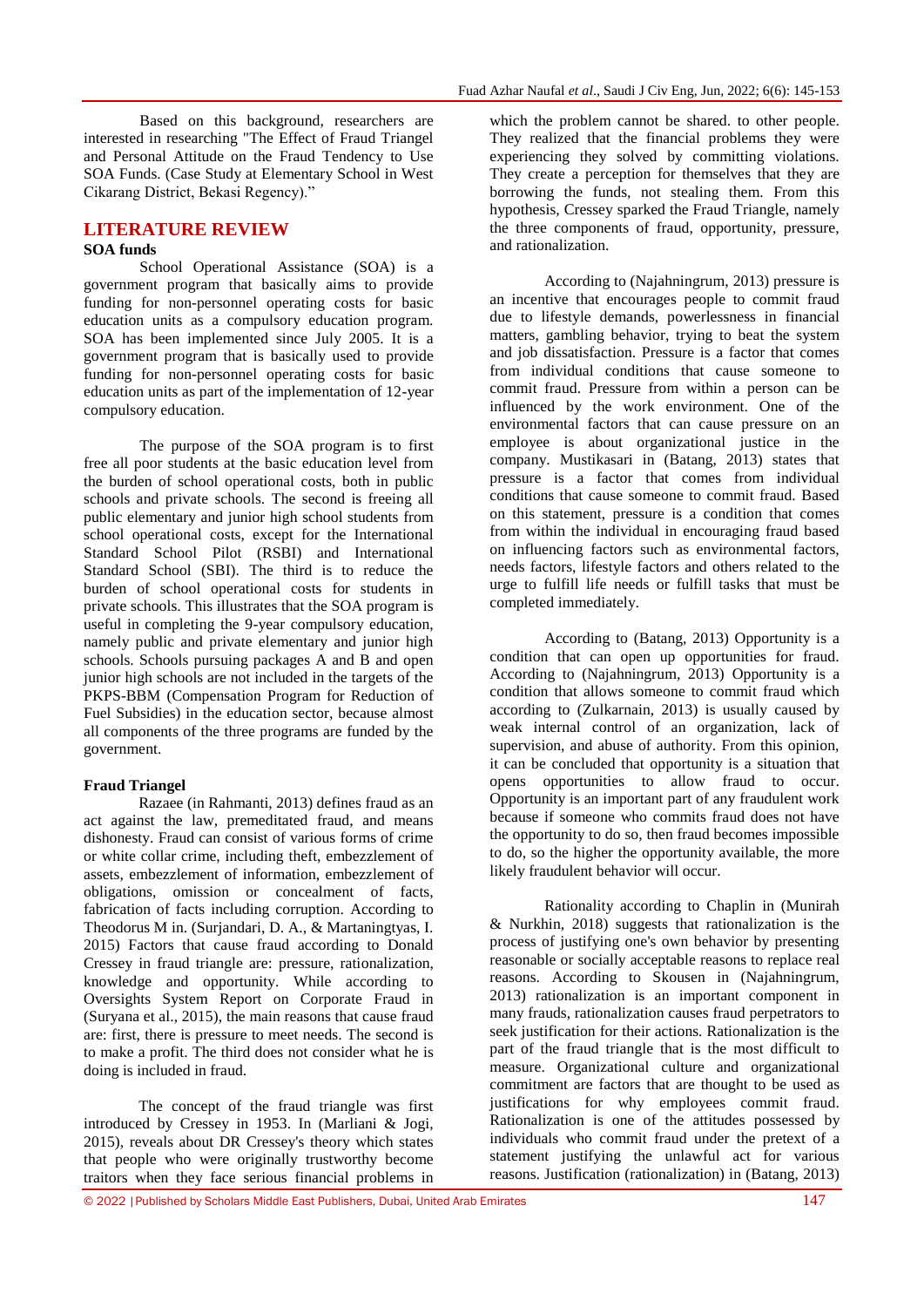Based on this background, researchers are interested in researching "The Effect of Fraud Triangel and Personal Attitude on the Fraud Tendency to Use SOA Funds. (Case Study at Elementary School in West Cikarang District, Bekasi Regency)."

#### **LITERATURE REVIEW SOA funds**

School Operational Assistance (SOA) is a government program that basically aims to provide funding for non-personnel operating costs for basic education units as a compulsory education program. SOA has been implemented since July 2005. It is a government program that is basically used to provide funding for non-personnel operating costs for basic education units as part of the implementation of 12-year compulsory education.

The purpose of the SOA program is to first free all poor students at the basic education level from the burden of school operational costs, both in public schools and private schools. The second is freeing all public elementary and junior high school students from school operational costs, except for the International Standard School Pilot (RSBI) and International Standard School (SBI). The third is to reduce the burden of school operational costs for students in private schools. This illustrates that the SOA program is useful in completing the 9-year compulsory education, namely public and private elementary and junior high schools. Schools pursuing packages A and B and open junior high schools are not included in the targets of the PKPS-BBM (Compensation Program for Reduction of Fuel Subsidies) in the education sector, because almost all components of the three programs are funded by the government.

#### **Fraud Triangel**

Razaee (in Rahmanti, 2013) defines fraud as an act against the law, premeditated fraud, and means dishonesty. Fraud can consist of various forms of crime or white collar crime, including theft, embezzlement of assets, embezzlement of information, embezzlement of obligations, omission or concealment of facts, fabrication of facts including corruption. According to Theodorus M in. (Surjandari, D. A., & Martaningtyas, I. 2015) Factors that cause fraud according to Donald Cressey in fraud triangle are: pressure, rationalization, knowledge and opportunity. While according to Oversights System Report on Corporate Fraud in (Suryana et al., 2015), the main reasons that cause fraud are: first, there is pressure to meet needs. The second is to make a profit. The third does not consider what he is doing is included in fraud.

The concept of the fraud triangle was first introduced by Cressey in 1953. In (Marliani & Jogi, 2015), reveals about DR Cressey's theory which states that people who were originally trustworthy become traitors when they face serious financial problems in

which the problem cannot be shared. to other people. They realized that the financial problems they were experiencing they solved by committing violations. They create a perception for themselves that they are borrowing the funds, not stealing them. From this hypothesis, Cressey sparked the Fraud Triangle, namely the three components of fraud, opportunity, pressure, and rationalization.

According to (Najahningrum, 2013) pressure is an incentive that encourages people to commit fraud due to lifestyle demands, powerlessness in financial matters, gambling behavior, trying to beat the system and job dissatisfaction. Pressure is a factor that comes from individual conditions that cause someone to commit fraud. Pressure from within a person can be influenced by the work environment. One of the environmental factors that can cause pressure on an employee is about organizational justice in the company. Mustikasari in (Batang, 2013) states that pressure is a factor that comes from individual conditions that cause someone to commit fraud. Based on this statement, pressure is a condition that comes from within the individual in encouraging fraud based on influencing factors such as environmental factors, needs factors, lifestyle factors and others related to the urge to fulfill life needs or fulfill tasks that must be completed immediately.

According to (Batang, 2013) Opportunity is a condition that can open up opportunities for fraud. According to (Najahningrum, 2013) Opportunity is a condition that allows someone to commit fraud which according to (Zulkarnain, 2013) is usually caused by weak internal control of an organization, lack of supervision, and abuse of authority. From this opinion, it can be concluded that opportunity is a situation that opens opportunities to allow fraud to occur. Opportunity is an important part of any fraudulent work because if someone who commits fraud does not have the opportunity to do so, then fraud becomes impossible to do, so the higher the opportunity available, the more likely fraudulent behavior will occur.

Rationality according to Chaplin in (Munirah & Nurkhin, 2018) suggests that rationalization is the process of justifying one's own behavior by presenting reasonable or socially acceptable reasons to replace real reasons. According to Skousen in (Najahningrum, 2013) rationalization is an important component in many frauds, rationalization causes fraud perpetrators to seek justification for their actions. Rationalization is the part of the fraud triangle that is the most difficult to measure. Organizational culture and organizational commitment are factors that are thought to be used as justifications for why employees commit fraud. Rationalization is one of the attitudes possessed by individuals who commit fraud under the pretext of a statement justifying the unlawful act for various reasons. Justification (rationalization) in (Batang, 2013)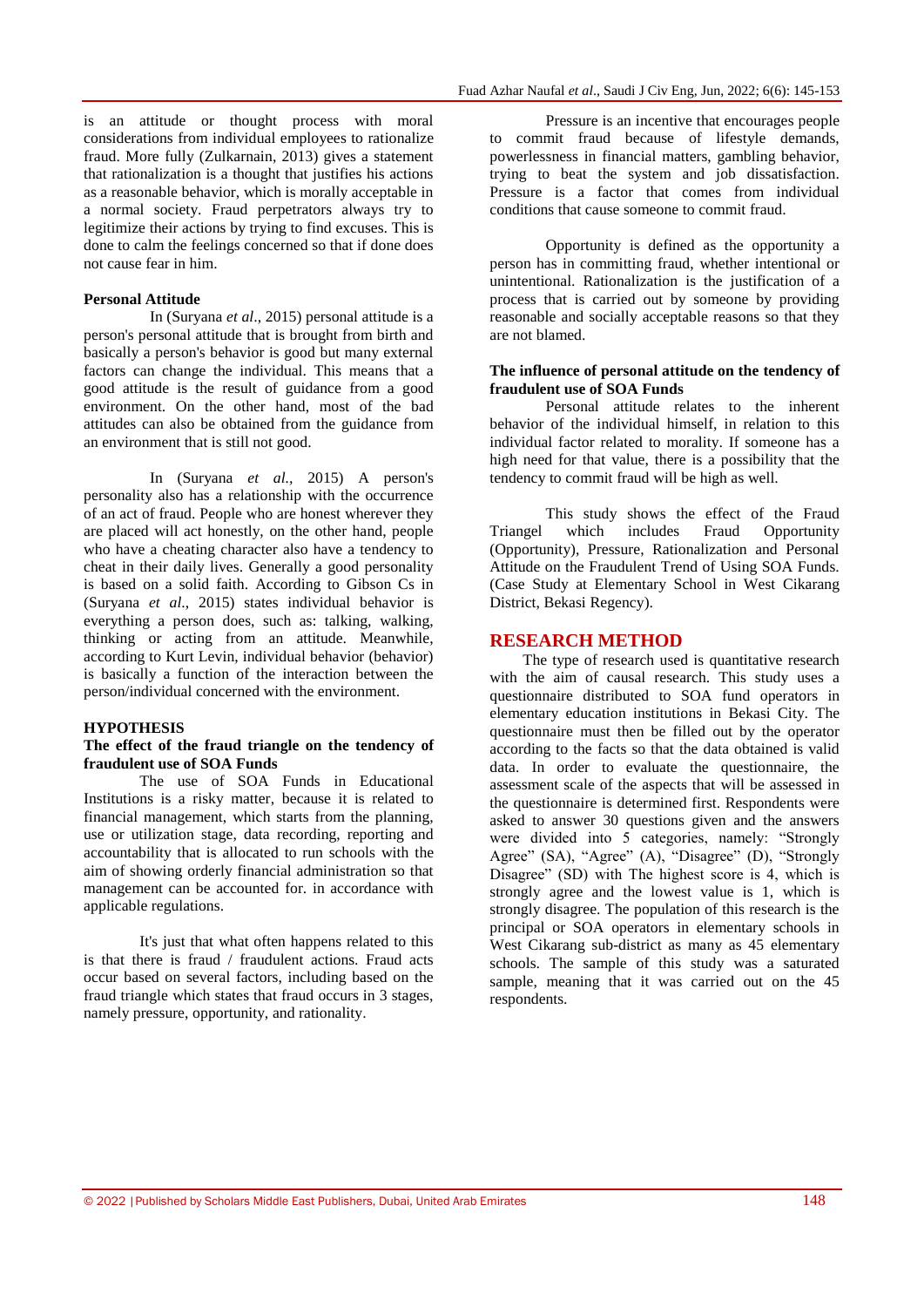is an attitude or thought process with moral considerations from individual employees to rationalize fraud. More fully (Zulkarnain, 2013) gives a statement that rationalization is a thought that justifies his actions as a reasonable behavior, which is morally acceptable in a normal society. Fraud perpetrators always try to legitimize their actions by trying to find excuses. This is done to calm the feelings concerned so that if done does not cause fear in him.

#### **Personal Attitude**

In (Suryana *et al*., 2015) personal attitude is a person's personal attitude that is brought from birth and basically a person's behavior is good but many external factors can change the individual. This means that a good attitude is the result of guidance from a good environment. On the other hand, most of the bad attitudes can also be obtained from the guidance from an environment that is still not good.

In (Suryana *et al.,* 2015) A person's personality also has a relationship with the occurrence of an act of fraud. People who are honest wherever they are placed will act honestly, on the other hand, people who have a cheating character also have a tendency to cheat in their daily lives. Generally a good personality is based on a solid faith. According to Gibson Cs in (Suryana *et al*., 2015) states individual behavior is everything a person does, such as: talking, walking, thinking or acting from an attitude. Meanwhile, according to Kurt Levin, individual behavior (behavior) is basically a function of the interaction between the person/individual concerned with the environment.

#### **HYPOTHESIS**

#### **The effect of the fraud triangle on the tendency of fraudulent use of SOA Funds**

The use of SOA Funds in Educational Institutions is a risky matter, because it is related to financial management, which starts from the planning, use or utilization stage, data recording, reporting and accountability that is allocated to run schools with the aim of showing orderly financial administration so that management can be accounted for. in accordance with applicable regulations.

It's just that what often happens related to this is that there is fraud / fraudulent actions. Fraud acts occur based on several factors, including based on the fraud triangle which states that fraud occurs in 3 stages, namely pressure, opportunity, and rationality.

Pressure is an incentive that encourages people to commit fraud because of lifestyle demands, powerlessness in financial matters, gambling behavior, trying to beat the system and job dissatisfaction. Pressure is a factor that comes from individual conditions that cause someone to commit fraud.

Opportunity is defined as the opportunity a person has in committing fraud, whether intentional or unintentional. Rationalization is the justification of a process that is carried out by someone by providing reasonable and socially acceptable reasons so that they are not blamed.

#### **The influence of personal attitude on the tendency of fraudulent use of SOA Funds**

Personal attitude relates to the inherent behavior of the individual himself, in relation to this individual factor related to morality. If someone has a high need for that value, there is a possibility that the tendency to commit fraud will be high as well.

This study shows the effect of the Fraud Triangel which includes Fraud Opportunity (Opportunity), Pressure, Rationalization and Personal Attitude on the Fraudulent Trend of Using SOA Funds. (Case Study at Elementary School in West Cikarang District, Bekasi Regency).

#### **RESEARCH METHOD**

The type of research used is quantitative research with the aim of causal research. This study uses a questionnaire distributed to SOA fund operators in elementary education institutions in Bekasi City. The questionnaire must then be filled out by the operator according to the facts so that the data obtained is valid data. In order to evaluate the questionnaire, the assessment scale of the aspects that will be assessed in the questionnaire is determined first. Respondents were asked to answer 30 questions given and the answers were divided into 5 categories, namely: "Strongly Agree" (SA), "Agree" (A), "Disagree" (D), "Strongly Disagree" (SD) with The highest score is 4, which is strongly agree and the lowest value is 1, which is strongly disagree. The population of this research is the principal or SOA operators in elementary schools in West Cikarang sub-district as many as 45 elementary schools. The sample of this study was a saturated sample, meaning that it was carried out on the 45 respondents.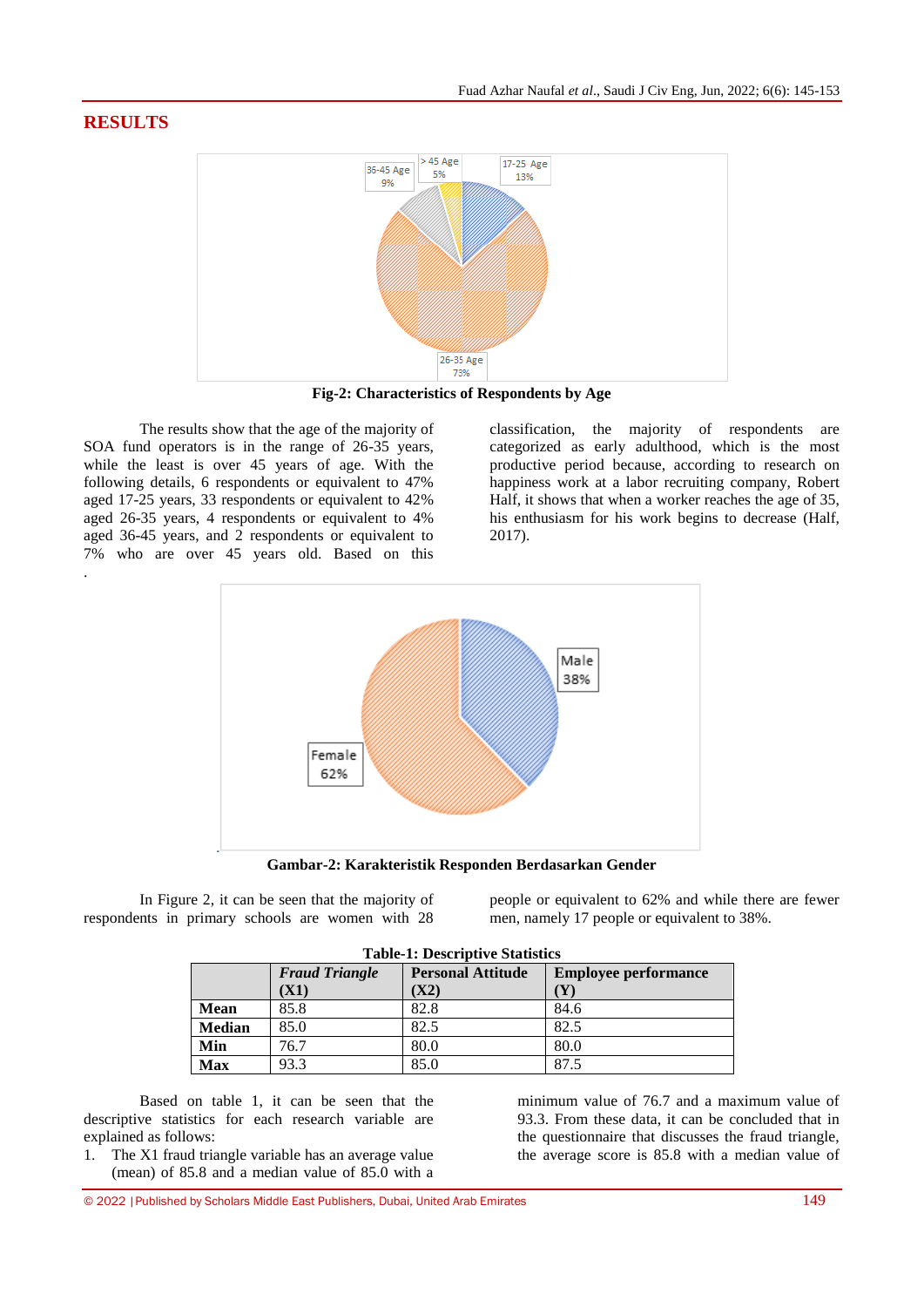# **RESULTS**



**Fig-2: Characteristics of Respondents by Age**

The results show that the age of the majority of SOA fund operators is in the range of 26-35 years, while the least is over 45 years of age. With the following details, 6 respondents or equivalent to 47% aged 17-25 years, 33 respondents or equivalent to 42% aged 26-35 years, 4 respondents or equivalent to 4% aged 36-45 years, and 2 respondents or equivalent to 7% who are over 45 years old. Based on this .

classification, the majority of respondents are categorized as early adulthood, which is the most productive period because, according to research on happiness work at a labor recruiting company, Robert Half, it shows that when a worker reaches the age of 35, his enthusiasm for his work begins to decrease (Half, 2017).



**Gambar-2: Karakteristik Responden Berdasarkan Gender**

In Figure 2, it can be seen that the majority of respondents in primary schools are women with 28 people or equivalent to 62% and while there are fewer men, namely 17 people or equivalent to 38%.

| <b>Table-1: Descriptive Statistics</b> |                                                                                  |      |      |  |  |  |
|----------------------------------------|----------------------------------------------------------------------------------|------|------|--|--|--|
|                                        | <b>Fraud Triangle</b><br><b>Personal Attitude</b><br><b>Employee performance</b> |      |      |  |  |  |
|                                        | (X1)                                                                             | (X2) |      |  |  |  |
| <b>Mean</b>                            | 85.8                                                                             | 82.8 | 84.6 |  |  |  |
| <b>Median</b>                          | 85.0                                                                             | 82.5 | 82.5 |  |  |  |
| Min                                    | 76.7                                                                             | 80.0 | 80.0 |  |  |  |
| <b>Max</b>                             | 93.3                                                                             | 85.0 | 87.5 |  |  |  |

Based on table 1, it can be seen that the descriptive statistics for each research variable are explained as follows:

1. The X1 fraud triangle variable has an average value (mean) of 85.8 and a median value of 85.0 with a

minimum value of 76.7 and a maximum value of 93.3. From these data, it can be concluded that in the questionnaire that discusses the fraud triangle, the average score is 85.8 with a median value of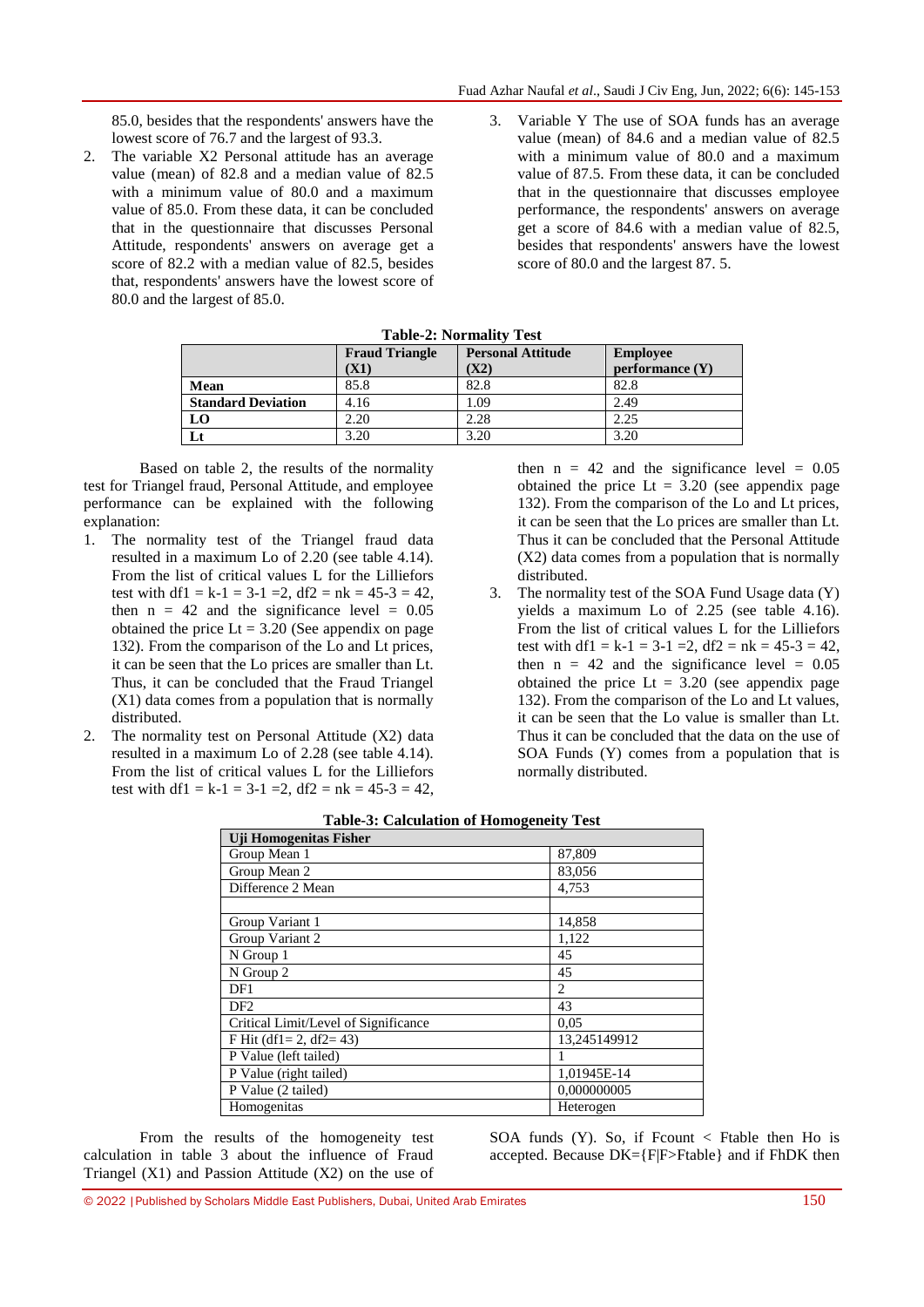85.0, besides that the respondents' answers have the lowest score of 76.7 and the largest of 93.3.

- 2. The variable X2 Personal attitude has an average value (mean) of 82.8 and a median value of 82.5 with a minimum value of 80.0 and a maximum value of 85.0. From these data, it can be concluded that in the questionnaire that discusses Personal Attitude, respondents' answers on average get a score of 82.2 with a median value of 82.5, besides that, respondents' answers have the lowest score of 80.0 and the largest of 85.0.
- 3. Variable Y The use of SOA funds has an average value (mean) of 84.6 and a median value of 82.5 with a minimum value of 80.0 and a maximum value of 87.5. From these data, it can be concluded that in the questionnaire that discusses employee performance, the respondents' answers on average get a score of 84.6 with a median value of 82.5, besides that respondents' answers have the lowest score of 80.0 and the largest 87. 5.

| $\sim$ 0.21 $\sim$ 0.1 $\sim$ 101 1110111 $\sim$ 0.22 |                       |                          |                   |  |  |  |
|-------------------------------------------------------|-----------------------|--------------------------|-------------------|--|--|--|
|                                                       | <b>Fraud Triangle</b> | <b>Personal Attitude</b> | <b>Employee</b>   |  |  |  |
|                                                       | (X1)                  | $\bf{X2)}$               | performance $(Y)$ |  |  |  |
| Mean                                                  | 85.8                  | 82.8                     | 82.8              |  |  |  |
| <b>Standard Deviation</b>                             | 4.16                  | .09                      | 2.49              |  |  |  |
| LO                                                    | 2.20                  | 2.28                     | 2.25              |  |  |  |
| Lt                                                    | 3.20                  | 3.20                     | 3.20              |  |  |  |

**Table-2: Normality Test**

Based on table 2, the results of the normality test for Triangel fraud, Personal Attitude, and employee performance can be explained with the following explanation:

- 1. The normality test of the Triangel fraud data resulted in a maximum Lo of 2.20 (see table 4.14). From the list of critical values L for the Lilliefors test with df1 = k-1 = 3-1 = 2, df2 = nk =  $45-3 = 42$ , then  $n = 42$  and the significance level = 0.05 obtained the price  $Lt = 3.20$  (See appendix on page 132). From the comparison of the Lo and Lt prices, it can be seen that the Lo prices are smaller than Lt. Thus, it can be concluded that the Fraud Triangel (X1) data comes from a population that is normally distributed.
- The normality test on Personal Attitude (X2) data resulted in a maximum Lo of 2.28 (see table 4.14). From the list of critical values L for the Lilliefors test with df1 = k-1 = 3-1 = 2, df2 = nk =  $45-3 = 42$ ,

then  $n = 42$  and the significance level = 0.05 obtained the price  $Lt = 3.20$  (see appendix page 132). From the comparison of the Lo and Lt prices, it can be seen that the Lo prices are smaller than Lt. Thus it can be concluded that the Personal Attitude (X2) data comes from a population that is normally distributed.

3. The normality test of the SOA Fund Usage data (Y) yields a maximum Lo of 2.25 (see table 4.16). From the list of critical values L for the Lilliefors test with df1 = k-1 = 3-1 = 2, df2 = nk =  $45-3 = 42$ , then  $n = 42$  and the significance level = 0.05 obtained the price  $Lt = 3.20$  (see appendix page 132). From the comparison of the Lo and Lt values, it can be seen that the Lo value is smaller than Lt. Thus it can be concluded that the data on the use of SOA Funds (Y) comes from a population that is normally distributed.

| <b>Uji Homogenitas Fisher</b>        |              |
|--------------------------------------|--------------|
| Group Mean 1                         | 87,809       |
| Group Mean 2                         | 83,056       |
| Difference 2 Mean                    | 4,753        |
|                                      |              |
| Group Variant 1                      | 14,858       |
| Group Variant 2                      | 1,122        |
| N Group 1                            | 45           |
| N Group 2                            | 45           |
| DF1                                  | 2            |
| DF <sub>2</sub>                      | 43           |
| Critical Limit/Level of Significance | 0.05         |
| F Hit (df1= 2, df2= 43)              | 13,245149912 |
| P Value (left tailed)                |              |
| P Value (right tailed)               | 1,01945E-14  |
| P Value (2 tailed)                   | 0,000000005  |
| Homogenitas                          | Heterogen    |

|  | <b>Table-3: Calculation of Homogeneity Test</b> |  |  |  |
|--|-------------------------------------------------|--|--|--|
|--|-------------------------------------------------|--|--|--|

From the results of the homogeneity test calculation in table 3 about the influence of Fraud Triangel  $(X1)$  and Passion Attitude  $(X2)$  on the use of

SOA funds (Y). So, if Feount  $\lt$  Ftable then Ho is accepted. Because DK={F|F>Ftable} and if FhDK then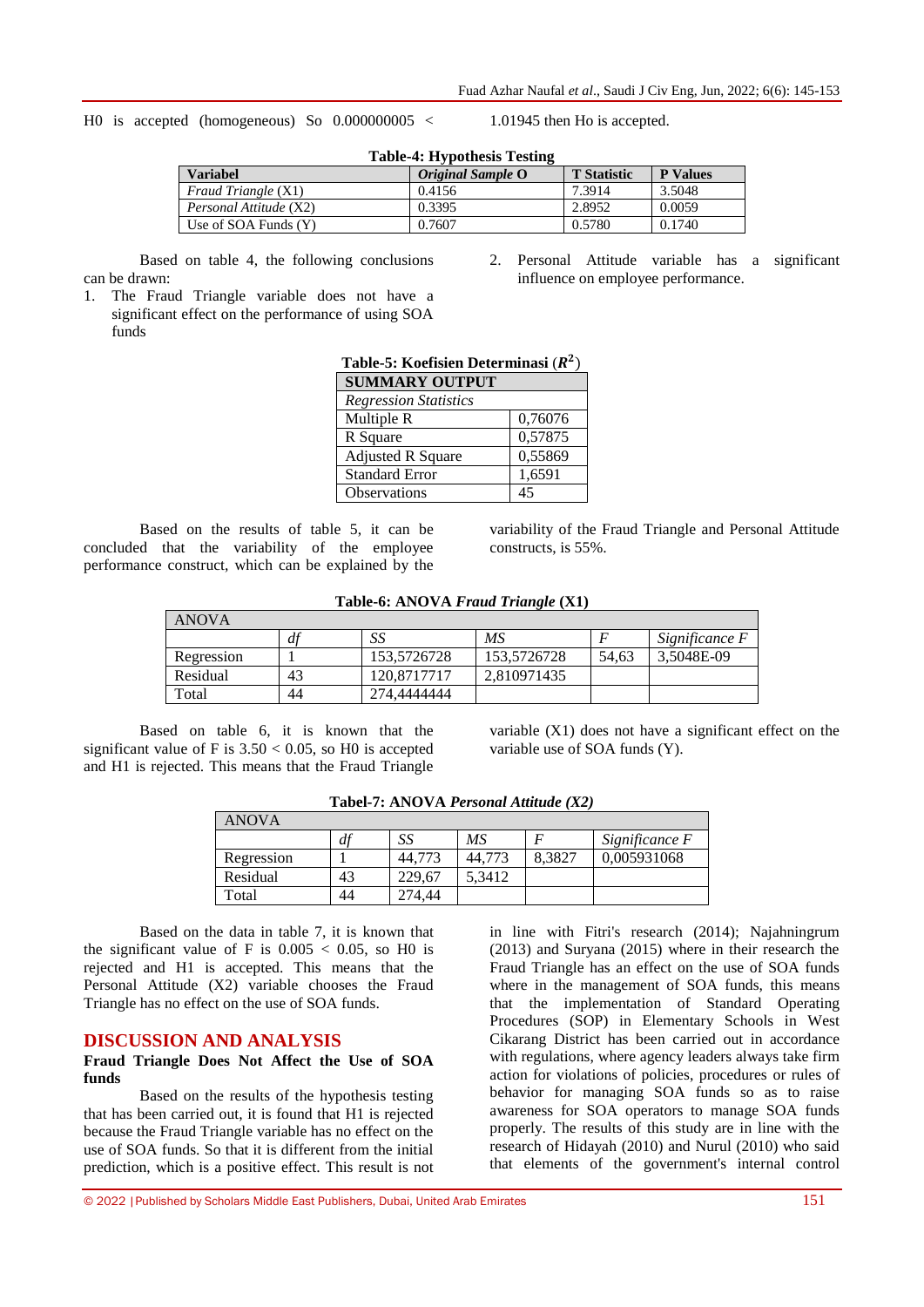H0 is accepted (homogeneous) So 0.000000005 < 1.01945 then Ho is accepted.

| <b>Table-4: Hypothesis Testing</b> |                   |                    |                 |  |  |  |
|------------------------------------|-------------------|--------------------|-----------------|--|--|--|
| <b>Variabel</b>                    | Original Sample O | <b>T</b> Statistic | <b>P</b> Values |  |  |  |
| <i>Fraud Triangle</i> (X1)         | 0.4156            | 7.3914             | 3.5048          |  |  |  |
| Personal Attitude (X2)             | 0.3395            | 2.8952             | 0.0059          |  |  |  |
| Use of SOA Funds $(Y)$             | 0.7607            | 0.5780             | 0.1740          |  |  |  |

Based on table 4, the following conclusions

- 2. Personal Attitude variable has a significant influence on employee performance.
- 1. The Fraud Triangle variable does not have a significant effect on the performance of using SOA funds

can be drawn:

| Table-5: Koefisien Determinasi $(R^2)$ |         |  |  |  |
|----------------------------------------|---------|--|--|--|
| <b>SUMMARY OUTPUT</b>                  |         |  |  |  |
| <b>Regression Statistics</b>           |         |  |  |  |
| Multiple R<br>0,76076                  |         |  |  |  |
| R Square                               | 0,57875 |  |  |  |
| 0,55869<br><b>Adjusted R Square</b>    |         |  |  |  |
| <b>Standard Error</b>                  | 1,6591  |  |  |  |
| Observations                           | 45      |  |  |  |

Based on the results of table 5, it can be concluded that the variability of the employee performance construct, which can be explained by the

variability of the Fraud Triangle and Personal Attitude constructs, is 55%.

| <b>ANOVA</b> |    |             |             |       |                |
|--------------|----|-------------|-------------|-------|----------------|
|              | df | SS          | MS          |       | Significance F |
| Regression   |    | 153,5726728 | 153,5726728 | 54.63 | 3.5048E-09     |
| Residual     | 43 | 120.8717717 | 2.810971435 |       |                |
| Total        | 44 | 274.4444444 |             |       |                |

Based on table 6, it is known that the significant value of F is  $3.50 < 0.05$ , so H0 is accepted and H1 is rejected. This means that the Fraud Triangle

variable (X1) does not have a significant effect on the variable use of SOA funds (Y).

| <b>ANOVA</b> |    |        |        |        |                |  |
|--------------|----|--------|--------|--------|----------------|--|
|              | df | SS     | МS     |        | Significance F |  |
| Regression   |    | 44,773 | 44,773 | 8.3827 | 0,005931068    |  |
| Residual     | 43 | 229.67 | 5.3412 |        |                |  |
| Total        | 44 | '4.44  |        |        |                |  |

**Tabel-7: ANOVA** *Personal Attitude (X2)*

Based on the data in table 7, it is known that the significant value of F is  $0.005 < 0.05$ , so H0 is rejected and H1 is accepted. This means that the Personal Attitude (X2) variable chooses the Fraud Triangle has no effect on the use of SOA funds.

## **DISCUSSION AND ANALYSIS**

### **Fraud Triangle Does Not Affect the Use of SOA funds**

Based on the results of the hypothesis testing that has been carried out, it is found that H1 is rejected because the Fraud Triangle variable has no effect on the use of SOA funds. So that it is different from the initial prediction, which is a positive effect. This result is not in line with Fitri's research (2014); Najahningrum (2013) and Suryana (2015) where in their research the Fraud Triangle has an effect on the use of SOA funds where in the management of SOA funds, this means that the implementation of Standard Operating Procedures (SOP) in Elementary Schools in West Cikarang District has been carried out in accordance with regulations, where agency leaders always take firm action for violations of policies, procedures or rules of behavior for managing SOA funds so as to raise awareness for SOA operators to manage SOA funds properly. The results of this study are in line with the research of Hidayah (2010) and Nurul (2010) who said that elements of the government's internal control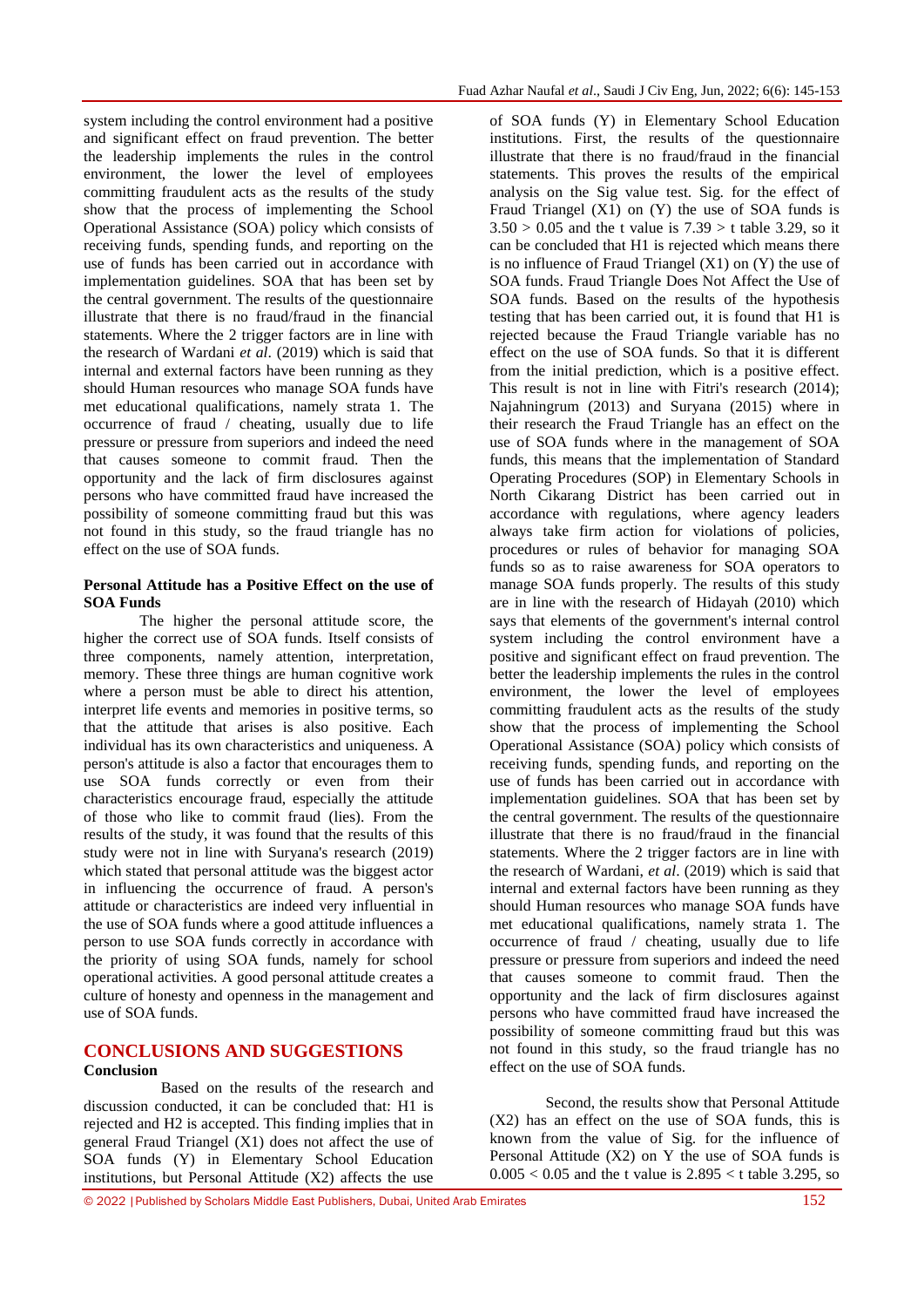system including the control environment had a positive and significant effect on fraud prevention. The better the leadership implements the rules in the control environment, the lower the level of employees committing fraudulent acts as the results of the study show that the process of implementing the School Operational Assistance (SOA) policy which consists of receiving funds, spending funds, and reporting on the use of funds has been carried out in accordance with implementation guidelines. SOA that has been set by the central government. The results of the questionnaire illustrate that there is no fraud/fraud in the financial statements. Where the 2 trigger factors are in line with the research of Wardani *et al*. (2019) which is said that internal and external factors have been running as they should Human resources who manage SOA funds have met educational qualifications, namely strata 1. The occurrence of fraud / cheating, usually due to life pressure or pressure from superiors and indeed the need that causes someone to commit fraud. Then the opportunity and the lack of firm disclosures against persons who have committed fraud have increased the possibility of someone committing fraud but this was not found in this study, so the fraud triangle has no effect on the use of SOA funds.

## **Personal Attitude has a Positive Effect on the use of SOA Funds**

The higher the personal attitude score, the higher the correct use of SOA funds. Itself consists of three components, namely attention, interpretation, memory. These three things are human cognitive work where a person must be able to direct his attention, interpret life events and memories in positive terms, so that the attitude that arises is also positive. Each individual has its own characteristics and uniqueness. A person's attitude is also a factor that encourages them to use SOA funds correctly or even from their characteristics encourage fraud, especially the attitude of those who like to commit fraud (lies). From the results of the study, it was found that the results of this study were not in line with Suryana's research (2019) which stated that personal attitude was the biggest actor in influencing the occurrence of fraud. A person's attitude or characteristics are indeed very influential in the use of SOA funds where a good attitude influences a person to use SOA funds correctly in accordance with the priority of using SOA funds, namely for school operational activities. A good personal attitude creates a culture of honesty and openness in the management and use of SOA funds.

# **CONCLUSIONS AND SUGGESTIONS Conclusion**

Based on the results of the research and discussion conducted, it can be concluded that: H1 is rejected and H2 is accepted. This finding implies that in general Fraud Triangel (X1) does not affect the use of SOA funds (Y) in Elementary School Education institutions, but Personal Attitude (X2) affects the use

of SOA funds (Y) in Elementary School Education institutions. First, the results of the questionnaire illustrate that there is no fraud/fraud in the financial statements. This proves the results of the empirical analysis on the Sig value test. Sig. for the effect of Fraud Triangel  $(X1)$  on  $(Y)$  the use of SOA funds is  $3.50 > 0.05$  and the t value is  $7.39 > t$  table 3.29, so it can be concluded that H1 is rejected which means there is no influence of Fraud Triangel  $(X1)$  on  $(Y)$  the use of SOA funds. Fraud Triangle Does Not Affect the Use of SOA funds. Based on the results of the hypothesis testing that has been carried out, it is found that H1 is rejected because the Fraud Triangle variable has no effect on the use of SOA funds. So that it is different from the initial prediction, which is a positive effect. This result is not in line with Fitri's research (2014); Najahningrum (2013) and Suryana (2015) where in their research the Fraud Triangle has an effect on the use of SOA funds where in the management of SOA funds, this means that the implementation of Standard Operating Procedures (SOP) in Elementary Schools in North Cikarang District has been carried out in accordance with regulations, where agency leaders always take firm action for violations of policies, procedures or rules of behavior for managing SOA funds so as to raise awareness for SOA operators to manage SOA funds properly. The results of this study are in line with the research of Hidayah (2010) which says that elements of the government's internal control system including the control environment have a positive and significant effect on fraud prevention. The better the leadership implements the rules in the control environment, the lower the level of employees committing fraudulent acts as the results of the study show that the process of implementing the School Operational Assistance (SOA) policy which consists of receiving funds, spending funds, and reporting on the use of funds has been carried out in accordance with implementation guidelines. SOA that has been set by the central government. The results of the questionnaire illustrate that there is no fraud/fraud in the financial statements. Where the 2 trigger factors are in line with the research of Wardani, *et al*. (2019) which is said that internal and external factors have been running as they should Human resources who manage SOA funds have met educational qualifications, namely strata 1. The occurrence of fraud / cheating, usually due to life pressure or pressure from superiors and indeed the need that causes someone to commit fraud. Then the opportunity and the lack of firm disclosures against persons who have committed fraud have increased the possibility of someone committing fraud but this was not found in this study, so the fraud triangle has no effect on the use of SOA funds.

Second, the results show that Personal Attitude (X2) has an effect on the use of SOA funds, this is known from the value of Sig. for the influence of Personal Attitude (X2) on Y the use of SOA funds is  $0.005 < 0.05$  and the t value is  $2.895 < t$  table 3.295, so